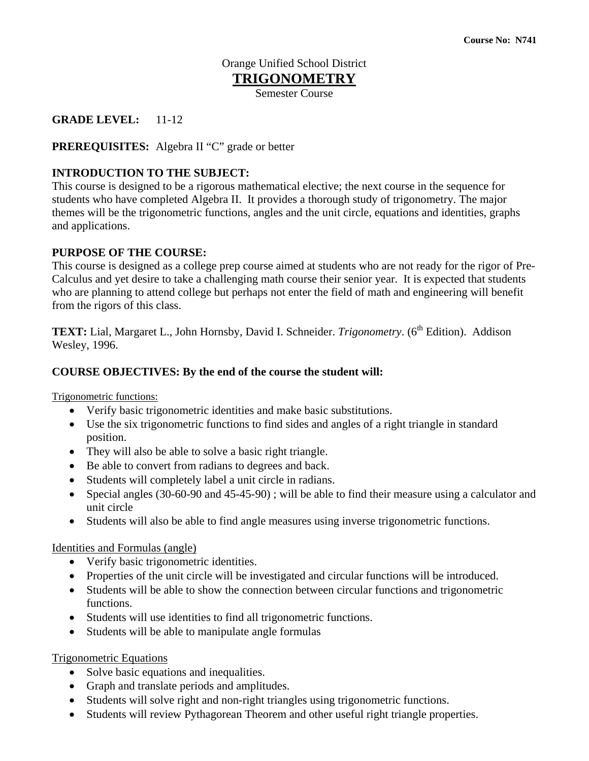# Orange Unified School District

# **TRIGONOMETRY**

Semester Course

## **GRADE LEVEL:** 11-12

**PREREQUISITES:** Algebra II "C" grade or better

## **INTRODUCTION TO THE SUBJECT:**

This course is designed to be a rigorous mathematical elective; the next course in the sequence for students who have completed Algebra II. It provides a thorough study of trigonometry. The major themes will be the trigonometric functions, angles and the unit circle, equations and identities, graphs and applications.

#### **PURPOSE OF THE COURSE:**

This course is designed as a college prep course aimed at students who are not ready for the rigor of Pre-Calculus and yet desire to take a challenging math course their senior year. It is expected that students who are planning to attend college but perhaps not enter the field of math and engineering will benefit from the rigors of this class.

TEXT: Lial, Margaret L., John Hornsby, David I. Schneider. *Trigonometry*. (6<sup>th</sup> Edition). Addison Wesley, 1996.

#### **COURSE OBJECTIVES: By the end of the course the student will:**

Trigonometric functions:

- Verify basic trigonometric identities and make basic substitutions.
- Use the six trigonometric functions to find sides and angles of a right triangle in standard position.
- They will also be able to solve a basic right triangle.
- Be able to convert from radians to degrees and back.
- Students will completely label a unit circle in radians.
- Special angles (30-60-90 and 45-45-90); will be able to find their measure using a calculator and unit circle
- Students will also be able to find angle measures using inverse trigonometric functions.

#### Identities and Formulas (angle)

- Verify basic trigonometric identities.
- Properties of the unit circle will be investigated and circular functions will be introduced.
- Students will be able to show the connection between circular functions and trigonometric functions.
- Students will use identities to find all trigonometric functions.
- Students will be able to manipulate angle formulas

## Trigonometric Equations

- Solve basic equations and inequalities.
- Graph and translate periods and amplitudes.
- Students will solve right and non-right triangles using trigonometric functions.
- Students will review Pythagorean Theorem and other useful right triangle properties.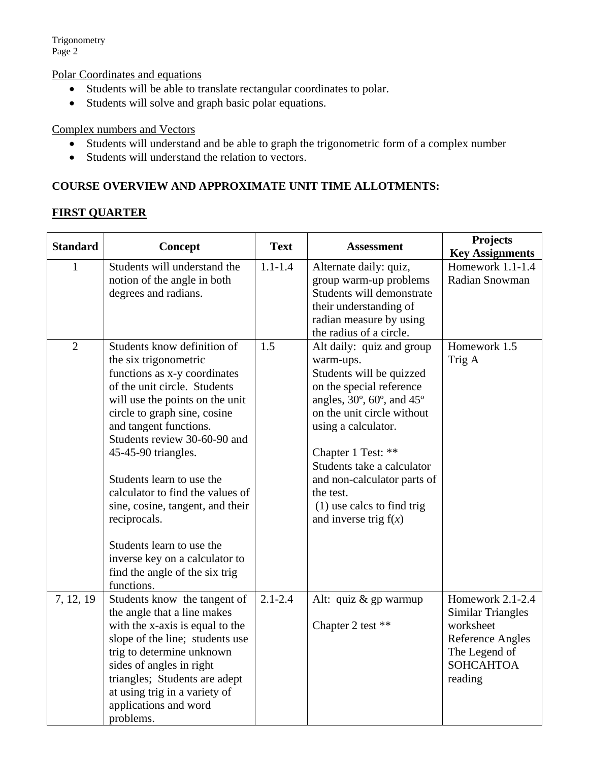Trigonometry Page 2

Polar Coordinates and equations

- Students will be able to translate rectangular coordinates to polar.
- Students will solve and graph basic polar equations.

#### Complex numbers and Vectors

- Students will understand and be able to graph the trigonometric form of a complex number
- Students will understand the relation to vectors.

## **COURSE OVERVIEW AND APPROXIMATE UNIT TIME ALLOTMENTS:**

# **FIRST QUARTER**

| <b>Standard</b> | Concept                                                                                                                                                                                                                                                                                                                                                                                                                                                                                                      | <b>Text</b> | <b>Assessment</b>                                                                                                                                                                                                                                                                                                                                                  | <b>Projects</b>                                                                                                                          |
|-----------------|--------------------------------------------------------------------------------------------------------------------------------------------------------------------------------------------------------------------------------------------------------------------------------------------------------------------------------------------------------------------------------------------------------------------------------------------------------------------------------------------------------------|-------------|--------------------------------------------------------------------------------------------------------------------------------------------------------------------------------------------------------------------------------------------------------------------------------------------------------------------------------------------------------------------|------------------------------------------------------------------------------------------------------------------------------------------|
| 1               | Students will understand the<br>notion of the angle in both<br>degrees and radians.                                                                                                                                                                                                                                                                                                                                                                                                                          | $1.1 - 1.4$ | Alternate daily: quiz,<br>group warm-up problems<br>Students will demonstrate<br>their understanding of<br>radian measure by using<br>the radius of a circle.                                                                                                                                                                                                      | <b>Key Assignments</b><br>Homework 1.1-1.4<br>Radian Snowman                                                                             |
| $\overline{2}$  | Students know definition of<br>the six trigonometric<br>functions as x-y coordinates<br>of the unit circle. Students<br>will use the points on the unit<br>circle to graph sine, cosine<br>and tangent functions.<br>Students review 30-60-90 and<br>45-45-90 triangles.<br>Students learn to use the<br>calculator to find the values of<br>sine, cosine, tangent, and their<br>reciprocals.<br>Students learn to use the<br>inverse key on a calculator to<br>find the angle of the six trig<br>functions. | 1.5         | Alt daily: quiz and group<br>warm-ups.<br>Students will be quizzed<br>on the special reference<br>angles, $30^\circ$ , $60^\circ$ , and $45^\circ$<br>on the unit circle without<br>using a calculator.<br>Chapter 1 Test: **<br>Students take a calculator<br>and non-calculator parts of<br>the test.<br>$(1)$ use calcs to find trig<br>and inverse trig $f(x)$ | Homework 1.5<br>Trig A                                                                                                                   |
| 7, 12, 19       | Students know the tangent of<br>the angle that a line makes<br>with the x-axis is equal to the<br>slope of the line; students use<br>trig to determine unknown<br>sides of angles in right<br>triangles; Students are adept<br>at using trig in a variety of<br>applications and word<br>problems.                                                                                                                                                                                                           | $2.1 - 2.4$ | Alt: quiz & gp warmup<br>Chapter 2 test **                                                                                                                                                                                                                                                                                                                         | Homework $2.1 - 2.4$<br><b>Similar Triangles</b><br>worksheet<br><b>Reference Angles</b><br>The Legend of<br><b>SOHCAHTOA</b><br>reading |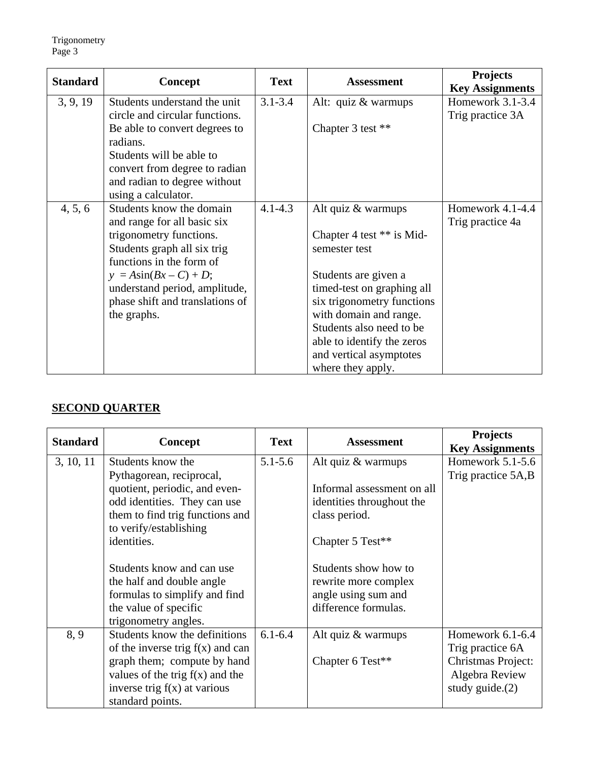| <b>Standard</b> |                                           | <b>Text</b> | <b>Assessment</b>           | <b>Projects</b>        |
|-----------------|-------------------------------------------|-------------|-----------------------------|------------------------|
|                 | <b>Concept</b>                            |             |                             | <b>Key Assignments</b> |
| 3, 9, 19        | Students understand the unit              | $3.1 - 3.4$ | Alt: quiz $&$ warmups       | Homework 3.1-3.4       |
|                 | circle and circular functions.            |             |                             | Trig practice 3A       |
|                 | Be able to convert degrees to<br>radians. |             | Chapter 3 test **           |                        |
|                 | Students will be able to                  |             |                             |                        |
|                 | convert from degree to radian             |             |                             |                        |
|                 | and radian to degree without              |             |                             |                        |
|                 | using a calculator.                       |             |                             |                        |
| 4, 5, 6         | Students know the domain                  | $4.1 - 4.3$ | Alt quiz & warmups          | Homework $4.1 - 4.4$   |
|                 | and range for all basic six               |             |                             | Trig practice 4a       |
|                 | trigonometry functions.                   |             | Chapter 4 test $**$ is Mid- |                        |
|                 | Students graph all six trig               |             | semester test               |                        |
|                 | functions in the form of                  |             |                             |                        |
|                 | $y = A\sin(Bx - C) + D;$                  |             | Students are given a        |                        |
|                 | understand period, amplitude,             |             | timed-test on graphing all  |                        |
|                 | phase shift and translations of           |             | six trigonometry functions  |                        |
|                 | the graphs.                               |             | with domain and range.      |                        |
|                 |                                           |             | Students also need to be    |                        |
|                 |                                           |             | able to identify the zeros  |                        |
|                 |                                           |             | and vertical asymptotes     |                        |
|                 |                                           |             | where they apply.           |                        |

# **SECOND QUARTER**

| <b>Standard</b> |                                    | <b>Text</b> | <b>Assessment</b>          | <b>Projects</b>        |
|-----------------|------------------------------------|-------------|----------------------------|------------------------|
|                 | <b>Concept</b>                     |             |                            | <b>Key Assignments</b> |
| 3, 10, 11       | Students know the                  | $5.1 - 5.6$ | Alt quiz & warmups         | Homework $5.1-5.6$     |
|                 | Pythagorean, reciprocal,           |             |                            | Trig practice 5A,B     |
|                 | quotient, periodic, and even-      |             | Informal assessment on all |                        |
|                 | odd identities. They can use       |             | identities throughout the  |                        |
|                 | them to find trig functions and    |             | class period.              |                        |
|                 | to verify/establishing             |             |                            |                        |
|                 | identities.                        |             | Chapter 5 Test**           |                        |
|                 |                                    |             |                            |                        |
|                 | Students know and can use          |             | Students show how to       |                        |
|                 | the half and double angle          |             | rewrite more complex       |                        |
|                 | formulas to simplify and find      |             | angle using sum and        |                        |
|                 | the value of specific              |             | difference formulas.       |                        |
|                 | trigonometry angles.               |             |                            |                        |
| 8.9             | Students know the definitions      | $6.1 - 6.4$ | Alt quiz $&$ warmups       | Homework 6.1-6.4       |
|                 | of the inverse trig $f(x)$ and can |             |                            | Trig practice 6A       |
|                 | graph them; compute by hand        |             | Chapter 6 Test**           | Christmas Project:     |
|                 | values of the trig $f(x)$ and the  |             |                            | Algebra Review         |
|                 | inverse trig $f(x)$ at various     |             |                            | study guide. $(2)$     |
|                 | standard points.                   |             |                            |                        |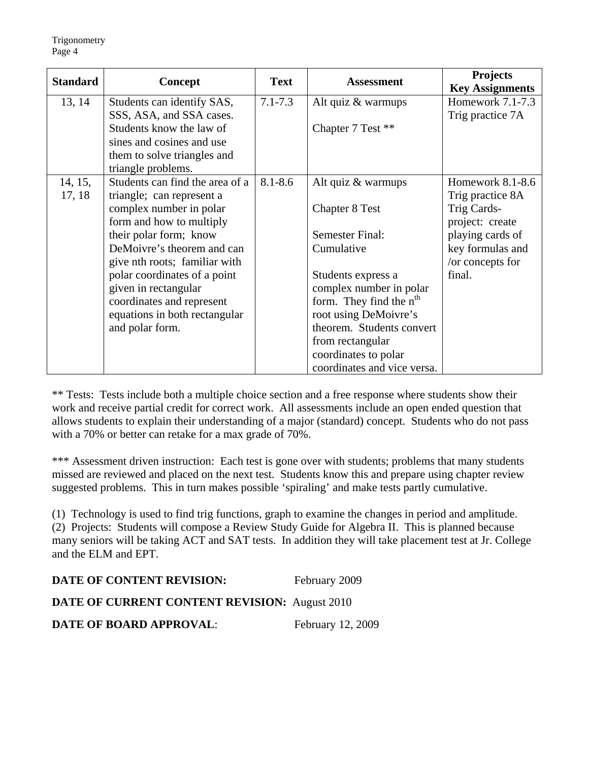| <b>Standard</b> | Concept                         | <b>Text</b> | <b>Assessment</b>                   | <b>Projects</b><br><b>Key Assignments</b> |
|-----------------|---------------------------------|-------------|-------------------------------------|-------------------------------------------|
| 13, 14          | Students can identify SAS,      | $7.1 - 7.3$ | Alt quiz & warmups                  | Homework 7.1-7.3                          |
|                 | SSS, ASA, and SSA cases.        |             |                                     | Trig practice 7A                          |
|                 | Students know the law of        |             | Chapter 7 Test **                   |                                           |
|                 | sines and cosines and use       |             |                                     |                                           |
|                 | them to solve triangles and     |             |                                     |                                           |
|                 | triangle problems.              |             |                                     |                                           |
| 14, 15,         | Students can find the area of a | $8.1 - 8.6$ | Alt quiz & warmups                  | Homework 8.1-8.6                          |
| 17, 18          | triangle; can represent a       |             |                                     | Trig practice 8A                          |
|                 | complex number in polar         |             | <b>Chapter 8 Test</b>               | Trig Cards-                               |
|                 | form and how to multiply        |             |                                     | project: create                           |
|                 | their polar form; know          |             | <b>Semester Final:</b>              | playing cards of                          |
|                 | DeMoivre's theorem and can      |             | Cumulative                          | key formulas and                          |
|                 | give nth roots; familiar with   |             |                                     | /or concepts for                          |
|                 | polar coordinates of a point    |             | Students express a                  | final.                                    |
|                 | given in rectangular            |             | complex number in polar             |                                           |
|                 | coordinates and represent       |             | form. They find the n <sup>th</sup> |                                           |
|                 | equations in both rectangular   |             | root using DeMoivre's               |                                           |
|                 | and polar form.                 |             | theorem. Students convert           |                                           |
|                 |                                 |             | from rectangular                    |                                           |
|                 |                                 |             | coordinates to polar                |                                           |
|                 |                                 |             | coordinates and vice versa.         |                                           |

\*\* Tests: Tests include both a multiple choice section and a free response where students show their work and receive partial credit for correct work. All assessments include an open ended question that allows students to explain their understanding of a major (standard) concept. Students who do not pass with a 70% or better can retake for a max grade of 70%.

\*\*\* Assessment driven instruction: Each test is gone over with students; problems that many students missed are reviewed and placed on the next test. Students know this and prepare using chapter review suggested problems. This in turn makes possible 'spiraling' and make tests partly cumulative.

(1) Technology is used to find trig functions, graph to examine the changes in period and amplitude. (2) Projects: Students will compose a Review Study Guide for Algebra II. This is planned because many seniors will be taking ACT and SAT tests. In addition they will take placement test at Jr. College and the ELM and EPT.

| DATE OF CONTENT REVISION:                            | February 2009     |
|------------------------------------------------------|-------------------|
| <b>DATE OF CURRENT CONTENT REVISION: August 2010</b> |                   |
| <b>DATE OF BOARD APPROVAL:</b>                       | February 12, 2009 |